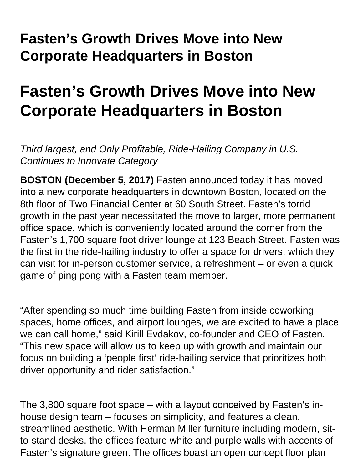## **Fasten's Growth Drives Move into New Corporate Headquarters in Boston**

## **Fasten's Growth Drives Move into New Corporate Headquarters in Boston**

Third largest, and Only Profitable, Ride-Hailing Company in U.S. Continues to Innovate Category

**BOSTON (December 5, 2017)** Fasten announced today it has moved into a new corporate headquarters in downtown Boston, located on the 8th floor of Two Financial Center at 60 South Street. Fasten's torrid growth in the past year necessitated the move to larger, more permanent office space, which is conveniently located around the corner from the Fasten's 1,700 square foot driver lounge at 123 Beach Street. Fasten was the first in the ride-hailing industry to offer a space for drivers, which they can visit for in-person customer service, a refreshment – or even a quick game of ping pong with a Fasten team member.

"After spending so much time building Fasten from inside coworking spaces, home offices, and airport lounges, we are excited to have a place we can call home," said Kirill Evdakov, co-founder and CEO of Fasten. "This new space will allow us to keep up with growth and maintain our focus on building a 'people first' ride-hailing service that prioritizes both driver opportunity and rider satisfaction."

The 3,800 square foot space – with a layout conceived by Fasten's inhouse design team – focuses on simplicity, and features a clean, streamlined aesthetic. With Herman Miller furniture including modern, sitto-stand desks, the offices feature white and purple walls with accents of Fasten's signature green. The offices boast an open concept floor plan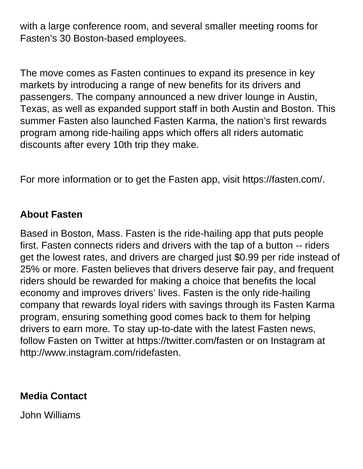with a large conference room, and several smaller meeting rooms for Fasten's 30 Boston-based employees.

The move comes as Fasten continues to expand its presence in key markets by introducing a range of new benefits for its drivers and passengers. The company announced a new driver lounge in Austin, Texas, as well as expanded support staff in both Austin and Boston. This summer Fasten also launched Fasten Karma, the nation's first rewards program among ride-hailing apps which offers all riders automatic discounts after every 10th trip they make.

For more information or to get the Fasten app, visit https://fasten.com/.

## **About Fasten**

Based in Boston, Mass. Fasten is the ride-hailing app that puts people first. Fasten connects riders and drivers with the tap of a button -- riders get the lowest rates, and drivers are charged just \$0.99 per ride instead of 25% or more. Fasten believes that drivers deserve fair pay, and frequent riders should be rewarded for making a choice that benefits the local economy and improves drivers' lives. Fasten is the only ride-hailing company that rewards loyal riders with savings through its Fasten Karma program, ensuring something good comes back to them for helping drivers to earn more. To stay up-to-date with the latest Fasten news, follow Fasten on Twitter at https://twitter.com/fasten or on Instagram at http://www.instagram.com/ridefasten.

## **Media Contact**

John Williams